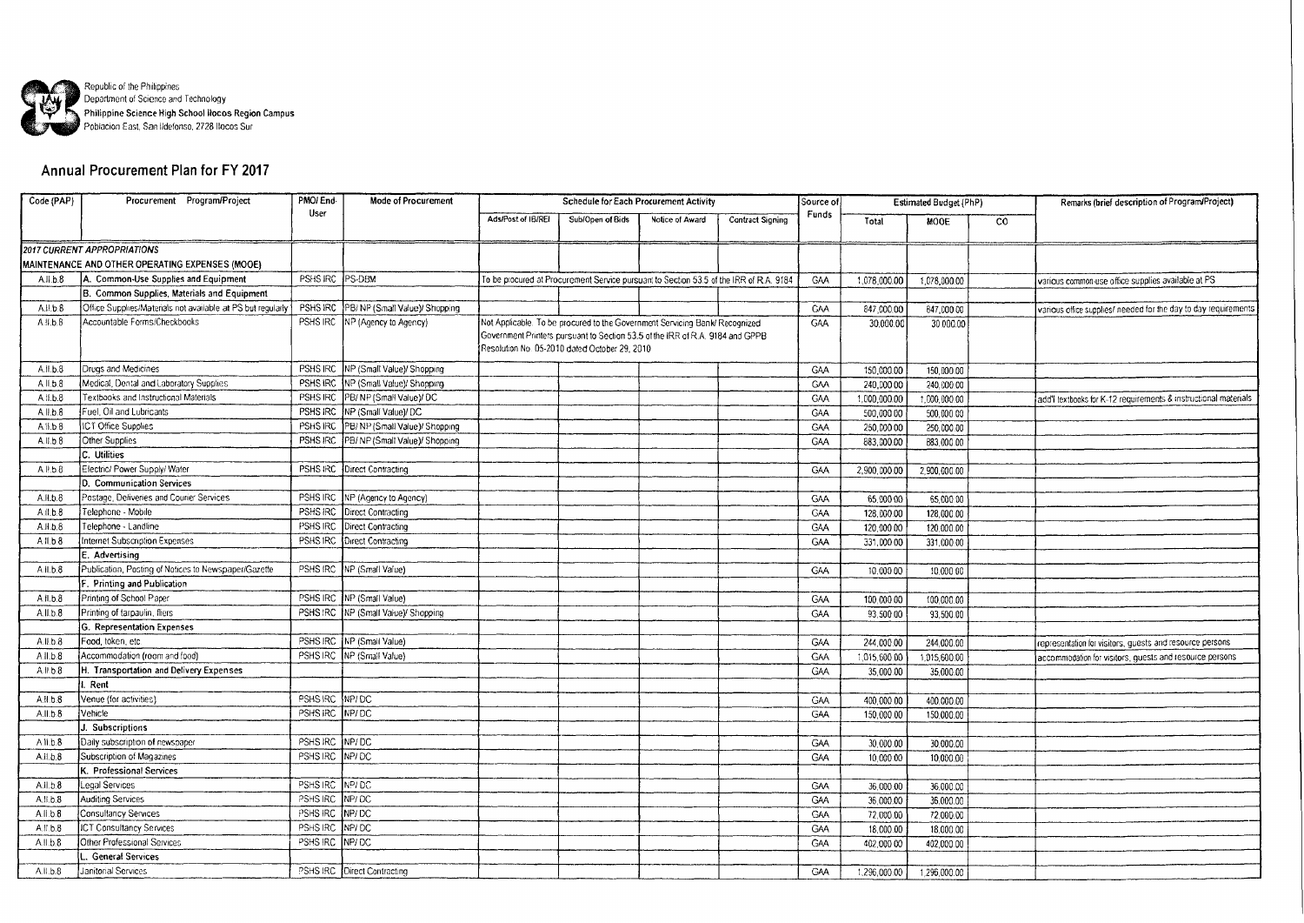

## Annual Procurement Plan for FY 2017

| Code (PAP)          | Procurement Program/Project                                 | PMOI End-<br>User                 | <b>Mode of Procurement</b>            | <b>Schedule for Each Procurement Activity</b> |                                                                                        |                 |                         | Source of  | Estimated Budget (PhP) |              |                | Remarks (brief description of Program/Project)                  |
|---------------------|-------------------------------------------------------------|-----------------------------------|---------------------------------------|-----------------------------------------------|----------------------------------------------------------------------------------------|-----------------|-------------------------|------------|------------------------|--------------|----------------|-----------------------------------------------------------------|
|                     |                                                             |                                   |                                       | Ads/Post of IB/REI                            | Sub/Open of Bids                                                                       | Notice of Award | <b>Contract Signing</b> | Funds      | Total                  | MOOE         | $\overline{c}$ |                                                                 |
|                     |                                                             |                                   |                                       |                                               |                                                                                        |                 |                         |            |                        |              |                |                                                                 |
|                     | 2017 CURRENT APPROPRIATIONS                                 |                                   |                                       |                                               |                                                                                        |                 |                         |            |                        |              |                |                                                                 |
|                     | MAINTENANCE AND OTHER OPERATING EXPENSES (MOOE)             |                                   |                                       |                                               |                                                                                        |                 |                         |            |                        |              |                |                                                                 |
| A.I.L.8             | A. Common-Use Supplies and Equipment                        | PSHS IRC                          | PS-DBM                                |                                               | To be procured at Procurement Service pursuant to Section 53.5 of the IRR of R.A. 9184 |                 |                         | GAA        | 1.078.000.00           | 1.078,000.00 |                | various common-use office supplies available at PS              |
|                     | B. Common Supplies, Materials and Equipment                 |                                   |                                       |                                               |                                                                                        |                 |                         |            |                        |              |                |                                                                 |
| A.II.b.8            | Office Supplies/Materials not available at PS but regularly | PSHS IRC                          | PB/ NP (Small Value)/ Shopping        |                                               |                                                                                        |                 |                         | GAA        | 847,000.00             | 847,000.00   |                | various office supplies/ needed for the day to day requirements |
| A.I. b.8            | Accountable Forms/Checkbooks                                |                                   | PSHS IRC NP (Agency to Agency)        |                                               | Not Applicable. To be procured to the Government Servicing Bank/ Recognized            |                 |                         | <b>GAA</b> | 30,000.00              | 30.000.00    |                |                                                                 |
|                     |                                                             |                                   |                                       |                                               | Government Printers pursuant to Section 53.5 of the IRR of R.A. 9184 and GPPB.         |                 |                         |            |                        |              |                |                                                                 |
|                     |                                                             |                                   |                                       |                                               | Resolution No. 05-2010 dated October 29, 2010                                          |                 |                         |            |                        |              |                |                                                                 |
| A.II.b.8            | Drugs and Medicines                                         | PSHS IRC                          | INP (Small Value)/ Shopping           |                                               |                                                                                        |                 |                         | GAA        | 150,000.00             | 150,000.00   |                |                                                                 |
| All.b.8             | Medical, Dental and Laboratory Supplies                     | PSHS IRC                          | INP (Small Value)/ Shopping           |                                               |                                                                                        |                 |                         | GAA        | 240,000.00             | 240.000.00   |                |                                                                 |
| A.II.b.B            | Textbooks and Instructional Materials                       | PSHS IRC                          | PB/NP (Small Value)/ DC               |                                               |                                                                                        |                 |                         | GAA        | 1,000,000.00           | 1,000,000.00 |                | add'I textbooks for K-12 requirements & instructional materials |
| A.II.b.8            | Fuel, Oil and Lubricants                                    |                                   | PSHS IRC   NP (Small Value)/ DC       |                                               |                                                                                        |                 |                         | GAA        | 500,000.00             | 500,000.00   |                |                                                                 |
| A.II.b.8            | ICT Office Supplies                                         | PSHS IRC                          | PB/NP (Small Value)/ Shopping         |                                               |                                                                                        |                 |                         | GAA        | 250,000 00             | 250,000.00   |                |                                                                 |
| A.I.L.8             | Other Supplies                                              | PSHS IRC                          | PB/NP (Small Value)/ Shopping         |                                               |                                                                                        |                 |                         | GAA        | 883,000.00             | 883,000.00   |                |                                                                 |
|                     | C. Utilities                                                |                                   |                                       |                                               |                                                                                        |                 |                         |            |                        |              |                |                                                                 |
| A.l.b.8             | Electric/ Power Supply/ Water                               |                                   | PSHS IRC   Direct Contracting         |                                               |                                                                                        |                 |                         | GAA        | 2,900,000.00           | 2,900,000.00 |                |                                                                 |
|                     | D. Communication Services                                   |                                   |                                       |                                               |                                                                                        |                 |                         |            |                        |              |                |                                                                 |
| A.H.b.8             | Postage, Deliveries and Courier Services                    |                                   | PSHS IRC NP (Agency to Agency)        |                                               |                                                                                        |                 |                         | <b>GAA</b> | 65,000 00              | 65,000.00    |                |                                                                 |
| A.II.b.8            | Telephone - Mobile                                          |                                   | PSHS IRC   Direct Contracting         |                                               |                                                                                        |                 |                         | GAA        | 128,000.00             | 128,000.00   |                |                                                                 |
| A.H.B.8             | Telephone - Landline                                        | PSHS IRC                          | Direct Contracting                    |                                               |                                                                                        |                 |                         | GAA        | 120,000.00             | 120,000.00   |                |                                                                 |
| $A$ .il.b. $8$      | Internet Subscription Expenses                              |                                   | PSHS IRC Direct Contracting           |                                               |                                                                                        |                 |                         | <b>GAA</b> | 331,000.00             | 331,000.00   |                |                                                                 |
|                     | E. Advertising                                              |                                   |                                       |                                               |                                                                                        |                 |                         |            |                        |              |                |                                                                 |
| A.II.b.8            | Publication, Posting of Notices to Newspaper/Gazette        | PSHS IRC                          | NP (Small Value)                      |                                               |                                                                                        |                 |                         | <b>GAA</b> | 10,000.00              | 10,000.00    |                |                                                                 |
|                     | F. Printing and Publication                                 |                                   |                                       |                                               |                                                                                        |                 |                         |            |                        |              |                |                                                                 |
| A.II.b.8            | Printing of School Paper                                    |                                   | PSHS IRC   NP (Small Value)           |                                               |                                                                                        |                 |                         | GAA        | 100,000.00             | 100,000.00   |                |                                                                 |
| A.II.b.B            | Printing of tarpaulin, fliers                               |                                   | PSHS IRC   NP (Small Value)/ Shopping |                                               |                                                                                        |                 |                         | <b>GAA</b> | 93,500.00              | 93,500.00    |                |                                                                 |
|                     | G. Representation Expenses                                  |                                   |                                       |                                               |                                                                                        |                 |                         |            |                        |              |                |                                                                 |
| A.I.b.8             | Food, token, etc.                                           |                                   | PSHS IRC NP (Small Value)             |                                               |                                                                                        |                 |                         | GAA        | 244,000.00             | 244.000.00   |                | representation for visitors, guests and resource persons        |
| A.II.b.8            | Accommodation (room and food)                               |                                   | PSHS IRC NP (Small Value)             |                                               |                                                                                        |                 |                         | <b>GAA</b> | 1,015,600.00           | 1.015.600.00 |                | accommodation for visitors, guests and resource persons         |
| A.H.b.B             | H. Transportation and Delivery Expenses                     |                                   |                                       |                                               |                                                                                        |                 |                         | GAA        | 35,000.00              | 35,000.00    |                |                                                                 |
|                     | Rent                                                        |                                   |                                       |                                               |                                                                                        |                 |                         |            |                        |              |                |                                                                 |
| A.II.b.8            | Venue (for activities)                                      | PSHS IRC NP/DC                    |                                       |                                               |                                                                                        |                 |                         | GAA        | 400,000.00             | 400,000.00   |                |                                                                 |
| A.II.b.8            | Vehicle                                                     | PSHS IRC NP/DC                    |                                       |                                               |                                                                                        |                 |                         | <b>GAA</b> | 150,000.00             | 150.000.00   |                |                                                                 |
|                     | Subscriptions                                               |                                   |                                       |                                               |                                                                                        |                 |                         |            |                        |              |                |                                                                 |
| A.II.b.8            | Daily subscription of newspaper                             | PSHS IRC NP/DC                    |                                       |                                               |                                                                                        |                 |                         | <b>GAA</b> | 30.000.00              | 30,000.00    |                |                                                                 |
| A.II.b.8            | Subscription of Magazines                                   | PSHS IRC NP/DC                    |                                       |                                               |                                                                                        |                 |                         | <b>GAA</b> | 10,000.00              | 10,000.00    |                |                                                                 |
|                     | K. Professional Services                                    |                                   |                                       |                                               |                                                                                        |                 |                         |            |                        |              |                |                                                                 |
| A.I.b.8             | egal Services<br><b>Auditing Services</b>                   | PSHS IRC NP/ DC<br>PSHS IRC MP/DC |                                       |                                               |                                                                                        |                 |                         | <b>GMA</b> | 36,000.00              | 36,000.00    |                |                                                                 |
| A.II.b.8<br>All.b.8 | Consultancy Services                                        | PSHS IRC                          | NP/DC                                 |                                               |                                                                                        |                 |                         | <b>GAA</b> | 36,000.00              | 36,000.00    |                |                                                                 |
| A.I.b.B             | <b>ICT Consultancy Services</b>                             | PSHS IRC NP/DC                    |                                       |                                               |                                                                                        |                 |                         | GAA        | 72,000.00              | 72,000.00    |                |                                                                 |
| A.I.L.8             | Other Professional Services                                 | PSHS IRC NP/ DC                   |                                       |                                               |                                                                                        |                 |                         | GAA        | 18,000.00              | 18,000.00    |                |                                                                 |
|                     |                                                             |                                   |                                       |                                               |                                                                                        |                 |                         | GAA        | 402,000 00             | 402,000.00   |                |                                                                 |
|                     | <b>General Services</b>                                     |                                   |                                       |                                               |                                                                                        |                 |                         |            |                        |              |                |                                                                 |
| A.II.b.8            | Janitorial Services                                         |                                   | PSHS IRC   Direct Contracting         |                                               |                                                                                        |                 |                         | GAA        | 1,296,000.00           | 1,296,000.00 |                |                                                                 |